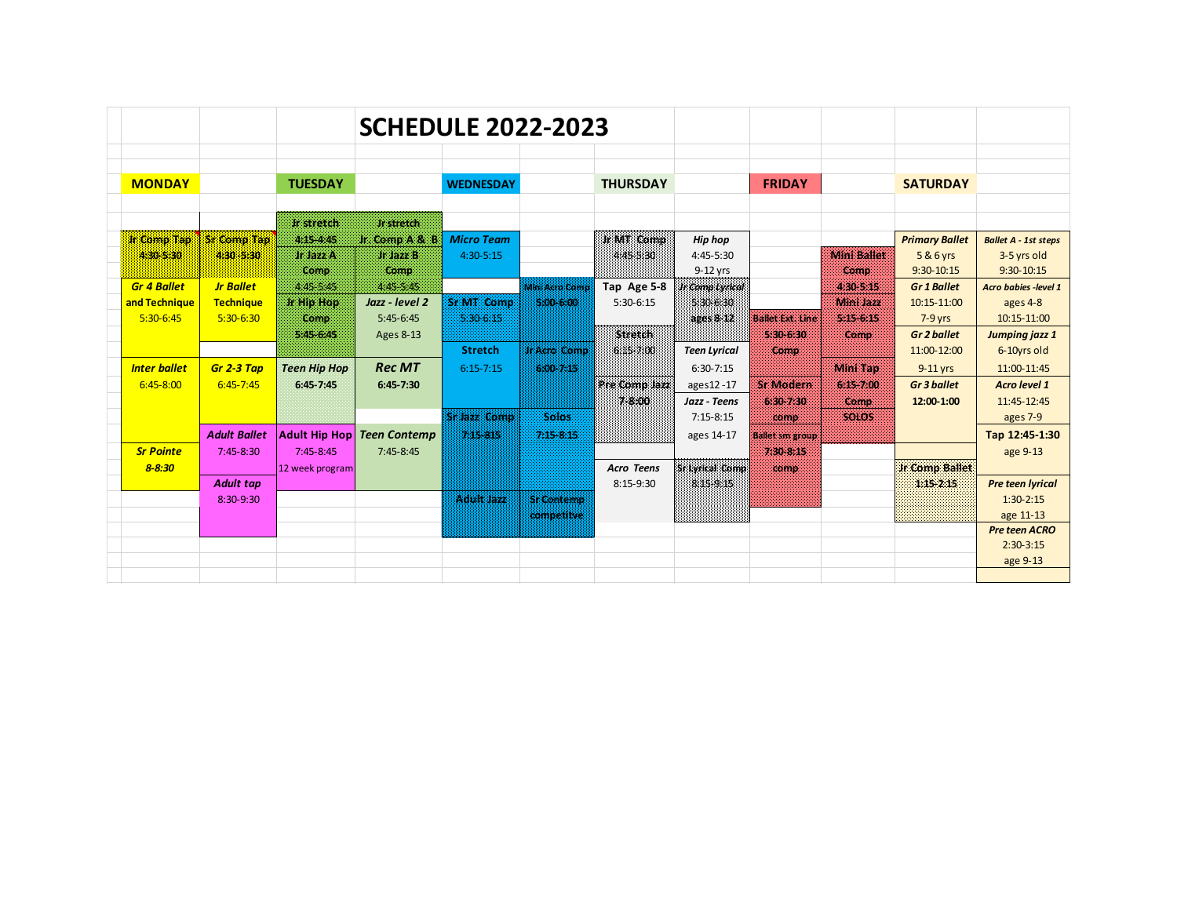|                     |                     |                                      | <b>SCHEDULE 2022-2023</b>  |                    |                     |                       |                           |                         |                      |                                  |                                      |
|---------------------|---------------------|--------------------------------------|----------------------------|--------------------|---------------------|-----------------------|---------------------------|-------------------------|----------------------|----------------------------------|--------------------------------------|
|                     |                     |                                      |                            |                    |                     |                       |                           |                         |                      |                                  |                                      |
| <b>MONDAY</b>       |                     | <b>TUESDAY</b>                       |                            | <b>WEDNESDAY</b>   |                     | <b>THURSDAY</b>       |                           | <b>FRIDAY</b>           |                      | <b>SATURDAY</b>                  |                                      |
|                     |                     |                                      |                            |                    |                     |                       |                           |                         |                      |                                  |                                      |
|                     |                     | Ir stretch                           | <b>Jr stretch</b>          |                    |                     |                       |                           |                         |                      |                                  |                                      |
| <b>Ir Comp Tap</b>  | Sr Comp Tap         | 4:15-4:45                            | Jr. Comp A & B             | <b>Micro Team</b>  |                     | Ir MT Comp            | <b>Hip hop</b>            |                         |                      | <b>Primary Ballet</b>            | <b>Ballet A - 1st steps</b>          |
| 4:30-5:30           | 430-530             | Jr Jazz A                            | Jr Jazz B                  | 4:30-5:15          |                     | 445 5:30              | $4:45-5:30$               |                         | <b>Mini Ballet</b>   | 5 & 6 yrs                        | 3-5 yrs old                          |
|                     |                     | Comp                                 | Comp                       |                    |                     |                       | 9-12 yrs                  |                         | Comp                 | $9:30-10:15$                     | $9:30-10:15$                         |
| <b>Gr 4 Ballet</b>  | <b>Jr Ballet</b>    | 4:45-5:45                            | 4:45-5:45                  |                    | Mini Acro Comp      | Tap Age 5-8           | Jr Comp Lyrical           |                         | 4:30-5:15            | <b>Gr 1 Ballet</b>               | <b>Acro babies -level 1</b>          |
| and Technique       | Technique           | <b>It Hip Hop</b>                    | Jazz - level 2             | <b>Sr MT Comp</b>  | 5:00-6:00           | $5:30-6:15$           | 5:30-6:30                 |                         | Mini Jazz            | 10:15-11:00                      | ages 4-8                             |
| $5:30-6:45$         | 5:30-6:30           | Comp                                 | $5:45-6:45$                | 5:30-6:15          |                     | <b>Stretch</b>        | ages 8-12                 | <b>Ballet Ext. Line</b> | 5:15-6:15            | $7-9$ yrs                        | 10:15-11:00                          |
|                     |                     | $5:45 - 6:45$                        | Ages 8-13                  | <b>Stretch</b>     | <b>Jr Acro Comp</b> | 6.15-7.00             | <b>Teen Lyrical</b>       | 5:30-6:30<br>Comp       | Comp                 | Gr 2 ballet<br>11:00-12:00       | <b>Jumping jazz 1</b><br>6-10yrs old |
| <b>Inter ballet</b> |                     |                                      | <b>Rec MT</b>              |                    |                     |                       |                           |                         |                      |                                  |                                      |
|                     | Gr 2-3 Tap          | <b>Teen Hip Hop</b><br>$6:45 - 7:45$ |                            | $6:15 - 7:15$      | 6,00,7.15           |                       | $6:30-7:15$               | Sr Modern               | Mint Tap             | $9-11$ yrs<br><b>Gr 3 ballet</b> | 11:00-11:45<br><b>Acro level 1</b>   |
| 6:45-8:00           | $6:45 - 7:45$       |                                      | $6:45-7:30$                |                    |                     | Pre Comp Jazz<br>7800 | ages12-17<br>Jazz - Teens | 6:30-7:30               | 6:15 7:00            | 12:00-1:00                       | 11:45-12:45                          |
|                     |                     |                                      |                            | <b>Sripzzicomo</b> | <b>Solos</b>        |                       | $7:15-8:15$               | comp                    | Comp<br><b>SOLOS</b> |                                  | ages 7-9                             |
|                     | <b>Adult Ballet</b> |                                      | Adult Hip Hop Teen Contemp | 7:15-815           | 7:15-8:15           |                       | ages 14-17                | <b>Ballet sm group</b>  |                      |                                  | Tap 12:45-1:30                       |
| <b>Sr Pointe</b>    | $7:45-8:30$         | $7:45-8:45$                          | $7:45 - 8:45$              |                    |                     |                       |                           | 7:30-8:15               |                      |                                  | age 9-13                             |
| $8 - 8:30$          |                     | 12 week program                      |                            |                    |                     | <b>Acro Teens</b>     | <b>Sr Lyrical Comp</b>    | comp.                   |                      | <b>Ir Comp Ballet</b>            |                                      |
|                     | <b>Adult tap</b>    |                                      |                            |                    |                     | $8:15-9:30$           | 8.15-9.15                 |                         |                      | 1:15-2:15                        | <b>Pre teen lyrical</b>              |
|                     | 8:30-9:30           |                                      |                            | Adult Jazz         | Sr Contemp          |                       |                           |                         |                      |                                  | $1:30-2:15$                          |
|                     |                     |                                      |                            |                    | competitve          |                       |                           |                         |                      |                                  | age 11-13                            |
|                     |                     |                                      |                            |                    |                     |                       |                           |                         |                      |                                  | <b>Pre teen ACRO</b>                 |
|                     |                     |                                      |                            |                    |                     |                       |                           |                         |                      |                                  | $2:30-3:15$                          |
|                     |                     |                                      |                            |                    |                     |                       |                           |                         |                      |                                  | age 9-13                             |
|                     |                     |                                      |                            |                    |                     |                       |                           |                         |                      |                                  |                                      |